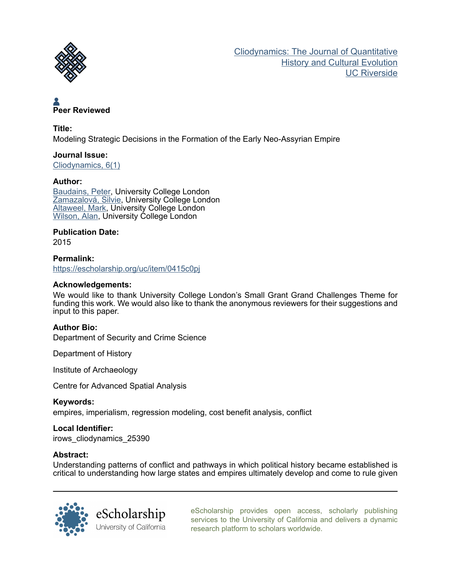

# Peer Reviewed

Title: Modeling Strategic Decisions in the Formation of the Early Neo-Assyrian Empire

Journal Issue: [Cliodynamics, 6\(1\)](https://escholarship.org/uc/irows_cliodynamics?volume=6;issue=1)

# Author:

**[Baudains, Peter](https://escholarship.org/uc/search?creator=Baudains%2C%20Peter), University College London** [Zamazalová, Silvie](https://escholarship.org/uc/search?creator=Zamazalov%C3%A1%2C%20Silvie), University College London [Altaweel, Mark](https://escholarship.org/uc/search?creator=Altaweel%2C%20Mark), University College London [Wilson, Alan](https://escholarship.org/uc/search?creator=Wilson%2C%20Alan), University College London

# Publication Date:

2015

## Permalink: <https://escholarship.org/uc/item/0415c0pj>

# Acknowledgements:

We would like to thank University College London's Small Grant Grand Challenges Theme for funding this work. We would also like to thank the anonymous reviewers for their suggestions and input to this paper.

# Author Bio:

Department of Security and Crime Science

Department of History

Institute of Archaeology

Centre for Advanced Spatial Analysis

## Keywords:

empires, imperialism, regression modeling, cost benefit analysis, conflict

# Local Identifier:

irows\_cliodynamics\_25390

# Abstract:

Understanding patterns of conflict and pathways in which political history became established is critical to understanding how large states and empires ultimately develop and come to rule given



[eScholarship provides open access, scholarly publishing](https://escholarship.org) [services to the University of California and delivers a dynamic](https://escholarship.org) [research platform to scholars worldwide.](https://escholarship.org)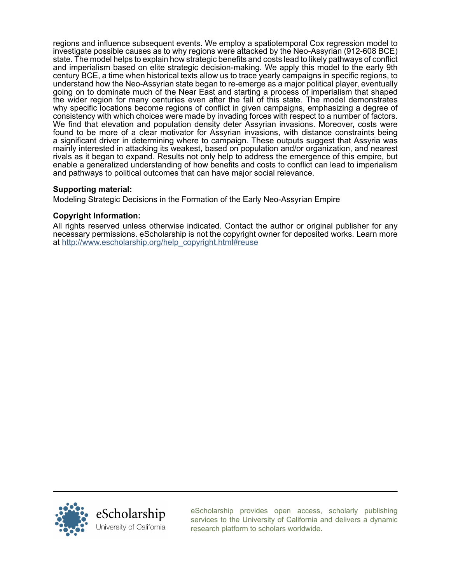regions and influence subsequent events. We employ a spatiotemporal Cox regression model to investigate possible causes as to why regions were attacked by the Neo-Assyrian (912-608 BCE) state. The model helps to explain how strategic benefits and costs lead to likely pathways of conflict and imperialism based on elite strategic decision-making. We apply this model to the early 9th century BCE, a time when historical texts allow us to trace yearly campaigns in specific regions, to understand how the Neo-Assyrian state began to re-emerge as a major political player, eventually going on to dominate much of the Near East and starting a process of imperialism that shaped the wider region for many centuries even after the fall of this state. The model demonstrates why specific locations become regions of conflict in given campaigns, emphasizing a degree of consistency with which choices were made by invading forces with respect to a number of factors. We find that elevation and population density deter Assyrian invasions. Moreover, costs were found to be more of a clear motivator for Assyrian invasions, with distance constraints being a significant driver in determining where to campaign. These outputs suggest that Assyria was mainly interested in attacking its weakest, based on population and/or organization, and nearest rivals as it began to expand. Results not only help to address the emergence of this empire, but enable a generalized understanding of how benefits and costs to conflict can lead to imperialism and pathways to political outcomes that can have major social relevance.

## Supporting material:

Modeling Strategic Decisions in the Formation of the Early Neo-Assyrian Empire

## Copyright Information:

All rights reserved unless otherwise indicated. Contact the author or original publisher for any necessary permissions. eScholarship is not the copyright owner for deposited works. Learn more at [http://www.escholarship.org/help\\_copyright.html#reuse](http://www.escholarship.org/help_copyright.html#reuse)



[eScholarship provides open access, scholarly publishing](https://escholarship.org) [services to the University of California and delivers a dynamic](https://escholarship.org) [research platform to scholars worldwide.](https://escholarship.org)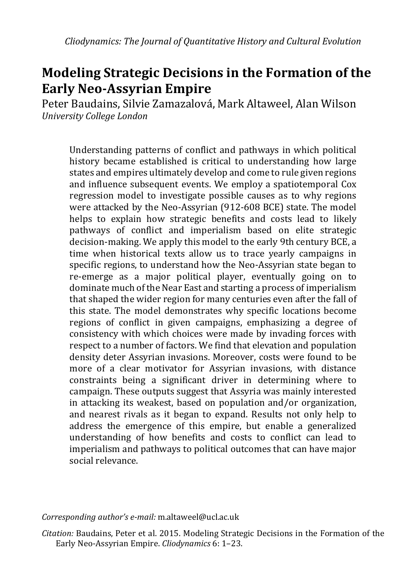# **Modeling Strategic Decisions in the Formation of the Early Neo-Assyrian Empire**

Peter Baudains, Silvie Zamazalová, Mark Altaweel, Alan Wilson *University College London*

Understanding patterns of conflict and pathways in which political history became established is critical to understanding how large states and empires ultimately develop and come to rule given regions and influence subsequent events. We employ a spatiotemporal Cox regression model to investigate possible causes as to why regions were attacked by the Neo-Assyrian (912-608 BCE) state. The model helps to explain how strategic benefits and costs lead to likely pathways of conflict and imperialism based on elite strategic decision-making. We apply this model to the early 9th century BCE, a time when historical texts allow us to trace yearly campaigns in specific regions, to understand how the Neo-Assyrian state began to re-emerge as a major political player, eventually going on to dominate much of the Near East and starting a process of imperialism that shaped the wider region for many centuries even after the fall of this state. The model demonstrates why specific locations become regions of conflict in given campaigns, emphasizing a degree of consistency with which choices were made by invading forces with respect to a number of factors. We find that elevation and population density deter Assyrian invasions. Moreover, costs were found to be more of a clear motivator for Assyrian invasions, with distance constraints being a significant driver in determining where to campaign. These outputs suggest that Assyria was mainly interested in attacking its weakest, based on population and/or organization, and nearest rivals as it began to expand. Results not only help to address the emergence of this empire, but enable a generalized understanding of how benefits and costs to conflict can lead to imperialism and pathways to political outcomes that can have major social relevance.

#### *Corresponding author's e-mail:* m.altaweel@ucl.ac.uk

*Citation:* Baudains, Peter et al. 2015. Modeling Strategic Decisions in the Formation of the Early Neo-Assyrian Empire. *Cliodynamics* 6: 1–23.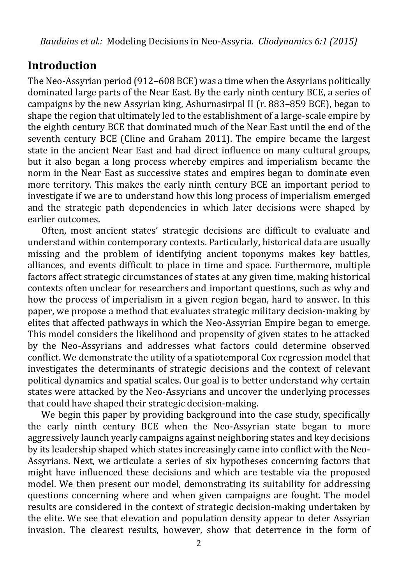### **Introduction**

The Neo-Assyrian period (912–608 BCE) was a time when the Assyrians politically dominated large parts of the Near East. By the early ninth century BCE, a series of campaigns by the new Assyrian king, Ashurnasirpal II (r. 883–859 BCE), began to shape the region that ultimately led to the establishment of a large-scale empire by the eighth century BCE that dominated much of the Near East until the end of the seventh century BCE (Cline and Graham 2011). The empire became the largest state in the ancient Near East and had direct influence on many cultural groups, but it also began a long process whereby empires and imperialism became the norm in the Near East as successive states and empires began to dominate even more territory. This makes the early ninth century BCE an important period to investigate if we are to understand how this long process of imperialism emerged and the strategic path dependencies in which later decisions were shaped by earlier outcomes.

Often, most ancient states' strategic decisions are difficult to evaluate and understand within contemporary contexts. Particularly, historical data are usually missing and the problem of identifying ancient toponyms makes key battles, alliances, and events difficult to place in time and space. Furthermore, multiple factors affect strategic circumstances of states at any given time, making historical contexts often unclear for researchers and important questions, such as why and how the process of imperialism in a given region began, hard to answer. In this paper, we propose a method that evaluates strategic military decision-making by elites that affected pathways in which the Neo-Assyrian Empire began to emerge. This model considers the likelihood and propensity of given states to be attacked by the Neo-Assyrians and addresses what factors could determine observed conflict. We demonstrate the utility of a spatiotemporal Cox regression model that investigates the determinants of strategic decisions and the context of relevant political dynamics and spatial scales. Our goal is to better understand why certain states were attacked by the Neo-Assyrians and uncover the underlying processes that could have shaped their strategic decision-making.

We begin this paper by providing background into the case study, specifically the early ninth century BCE when the Neo-Assyrian state began to more aggressively launch yearly campaigns against neighboring states and key decisions by its leadership shaped which states increasingly came into conflict with the Neo-Assyrians. Next, we articulate a series of six hypotheses concerning factors that might have influenced these decisions and which are testable via the proposed model. We then present our model, demonstrating its suitability for addressing questions concerning where and when given campaigns are fought. The model results are considered in the context of strategic decision-making undertaken by the elite. We see that elevation and population density appear to deter Assyrian invasion. The clearest results, however, show that deterrence in the form of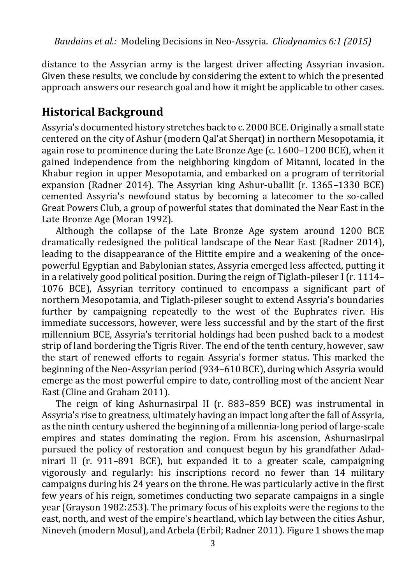distance to the Assyrian army is the largest driver affecting Assyrian invasion. Given these results, we conclude by considering the extent to which the presented approach answers our research goal and how it might be applicable to other cases.

# **Historical Background**

Assyria's documented history stretches back to c. 2000 BCE. Originally a small state centered on the city of Ashur (modern Qal'at Sherqat) in northern Mesopotamia, it again rose to prominence during the Late Bronze Age (c. 1600–1200 BCE), when it gained independence from the neighboring kingdom of Mitanni, located in the Khabur region in upper Mesopotamia, and embarked on a program of territorial expansion (Radner 2014). The Assyrian king Ashur-uballit (r. 1365–1330 BCE) cemented Assyria's newfound status by becoming a latecomer to the so-called Great Powers Club, a group of powerful states that dominated the Near East in the Late Bronze Age (Moran 1992).

Although the collapse of the Late Bronze Age system around 1200 BCE dramatically redesigned the political landscape of the Near East (Radner 2014), leading to the disappearance of the Hittite empire and a weakening of the oncepowerful Egyptian and Babylonian states, Assyria emerged less affected, putting it in a relatively good political position. During the reign of Tiglath-pileser I  $(r. 1114-$ 1076 BCE), Assyrian territory continued to encompass a significant part of northern Mesopotamia, and Tiglath-pileser sought to extend Assyria's boundaries further by campaigning repeatedly to the west of the Euphrates river. His immediate successors, however, were less successful and by the start of the first millennium BCE, Assyria's territorial holdings had been pushed back to a modest strip of land bordering the Tigris River. The end of the tenth century, however, saw the start of renewed efforts to regain Assyria's former status. This marked the beginning of the Neo-Assyrian period (934–610 BCE), during which Assyria would emerge as the most powerful empire to date, controlling most of the ancient Near East (Cline and Graham 2011).

The reign of king Ashurnasirpal II (r. 883–859 BCE) was instrumental in Assyria's rise to greatness, ultimately having an impact long after the fall of Assyria, as the ninth century ushered the beginning of a millennia-long period of large-scale empires and states dominating the region. From his ascension, Ashurnasirpal pursued the policy of restoration and conquest begun by his grandfather Adadnirari II (r. 911–891 BCE), but expanded it to a greater scale, campaigning vigorously and regularly: his inscriptions record no fewer than 14 military campaigns during his 24 years on the throne. He was particularly active in the first few years of his reign, sometimes conducting two separate campaigns in a single year (Grayson 1982:253). The primary focus of his exploits were the regions to the east, north, and west of the empire's heartland, which lay between the cities Ashur, Nineveh (modern Mosul), and Arbela (Erbil; Radner 2011). Figure 1 shows the map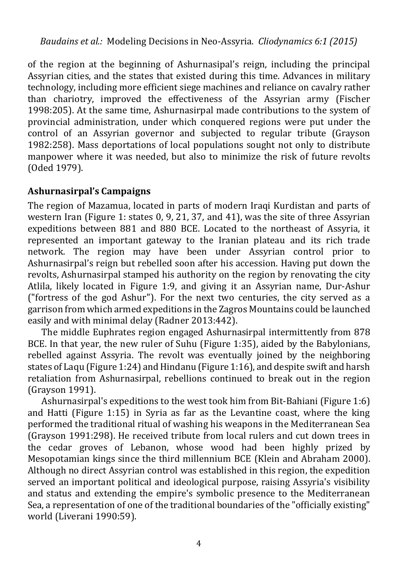of the region at the beginning of Ashurnasipal's reign, including the principal Assyrian cities, and the states that existed during this time. Advances in military technology, including more efficient siege machines and reliance on cavalry rather than chariotry, improved the effectiveness of the Assyrian army (Fischer 1998:205). At the same time, Ashurnasirpal made contributions to the system of provincial administration, under which conquered regions were put under the control of an Assyrian governor and subjected to regular tribute (Grayson 1982:258). Mass deportations of local populations sought not only to distribute manpower where it was needed, but also to minimize the risk of future revolts (Oded 1979).

### **Ashurnasirpal's Campaigns**

The region of Mazamua, located in parts of modern Iraqi Kurdistan and parts of western Iran (Figure 1: states 0, 9, 21, 37, and 41), was the site of three Assyrian expeditions between 881 and 880 BCE. Located to the northeast of Assyria, it represented an important gateway to the Iranian plateau and its rich trade network. The region may have been under Assyrian control prior to Ashurnasirpal's reign but rebelled soon after his accession. Having put down the revolts, Ashurnasirpal stamped his authority on the region by renovating the city Atlila, likely located in Figure 1:9, and giving it an Assyrian name, Dur-Ashur ("fortress of the god Ashur"). For the next two centuries, the city served as a garrison from which armed expeditions in the Zagros Mountains could be launched easily and with minimal delay (Radner 2013:442).

The middle Euphrates region engaged Ashurnasirpal intermittently from 878 BCE. In that year, the new ruler of Suhu (Figure 1:35), aided by the Babylonians, rebelled against Assyria. The revolt was eventually joined by the neighboring states of Laqu (Figure 1:24) and Hindanu (Figure 1:16), and despite swift and harsh retaliation from Ashurnasirpal, rebellions continued to break out in the region (Grayson 1991).

Ashurnasirpal's expeditions to the west took him from Bit-Bahiani (Figure 1:6) and Hatti (Figure 1:15) in Syria as far as the Levantine coast, where the king performed the traditional ritual of washing his weapons in the Mediterranean Sea (Grayson 1991:298). He received tribute from local rulers and cut down trees in the cedar groves of Lebanon, whose wood had been highly prized by Mesopotamian kings since the third millennium BCE (Klein and Abraham 2000). Although no direct Assyrian control was established in this region, the expedition served an important political and ideological purpose, raising Assyria's visibility and status and extending the empire's symbolic presence to the Mediterranean Sea, a representation of one of the traditional boundaries of the "officially existing" world (Liverani 1990:59).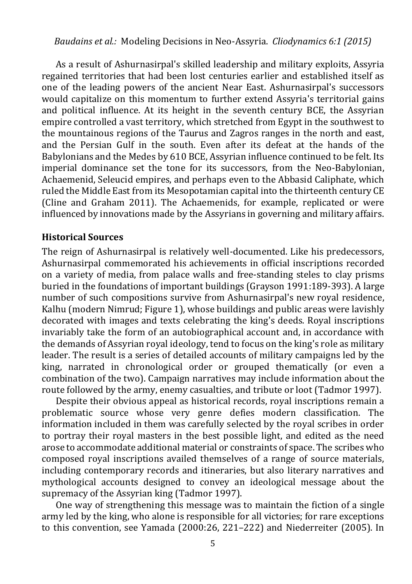As a result of Ashurnasirpal's skilled leadership and military exploits, Assyria regained territories that had been lost centuries earlier and established itself as one of the leading powers of the ancient Near East. Ashurnasirpal's successors would capitalize on this momentum to further extend Assyria's territorial gains and political influence. At its height in the seventh century BCE, the Assyrian empire controlled a vast territory, which stretched from Egypt in the southwest to the mountainous regions of the Taurus and Zagros ranges in the north and east, and the Persian Gulf in the south. Even after its defeat at the hands of the Babylonians and the Medes by 610 BCE, Assyrian influence continued to be felt. Its imperial dominance set the tone for its successors, from the Neo-Babylonian, Achaemenid, Seleucid empires, and perhaps even to the Abbasid Caliphate, which ruled the Middle East from its Mesopotamian capital into the thirteenth century CE (Cline and Graham 2011). The Achaemenids, for example, replicated or were influenced by innovations made by the Assyrians in governing and military affairs.

#### **Historical Sources**

The reign of Ashurnasirpal is relatively well-documented. Like his predecessors, Ashurnasirpal commemorated his achievements in official inscriptions recorded on a variety of media, from palace walls and free-standing steles to clay prisms buried in the foundations of important buildings (Grayson 1991:189-393). A large number of such compositions survive from Ashurnasirpal's new royal residence, Kalhu (modern Nimrud; Figure 1), whose buildings and public areas were lavishly decorated with images and texts celebrating the king's deeds. Royal inscriptions invariably take the form of an autobiographical account and, in accordance with the demands of Assyrian royal ideology, tend to focus on the king's role as military leader. The result is a series of detailed accounts of military campaigns led by the king, narrated in chronological order or grouped thematically (or even a combination of the two). Campaign narratives may include information about the route followed by the army, enemy casualties, and tribute or loot (Tadmor 1997).

Despite their obvious appeal as historical records, royal inscriptions remain a problematic source whose very genre defies modern classification. The information included in them was carefully selected by the royal scribes in order to portray their royal masters in the best possible light, and edited as the need arose to accommodate additional material or constraints of space. The scribes who composed royal inscriptions availed themselves of a range of source materials, including contemporary records and itineraries, but also literary narratives and mythological accounts designed to convey an ideological message about the supremacy of the Assyrian king (Tadmor 1997).

One way of strengthening this message was to maintain the fiction of a single army led by the king, who alone is responsible for all victories; for rare exceptions to this convention, see Yamada (2000:26, 221–222) and Niederreiter (2005). In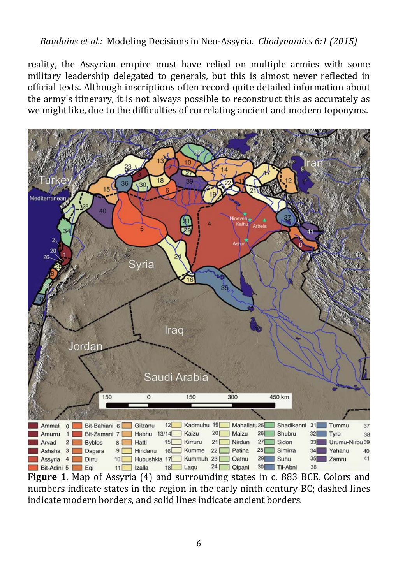reality, the Assyrian empire must have relied on multiple armies with some military leadership delegated to generals, but this is almost never reflected in official texts. Although inscriptions often record quite detailed information about the army's itinerary, it is not always possible to reconstruct this as accurately as we might like, due to the difficulties of correlating ancient and modern toponyms.



**Figure 1**. Map of Assyria (4) and surrounding states in c. 883 BCE. Colors and numbers indicate states in the region in the early ninth century BC; dashed lines indicate modern borders, and solid lines indicate ancient borders.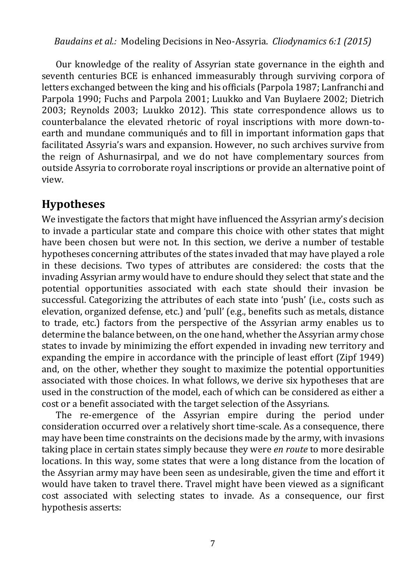Our knowledge of the reality of Assyrian state governance in the eighth and seventh centuries BCE is enhanced immeasurably through surviving corpora of letters exchanged between the king and his officials (Parpola 1987; Lanfranchi and Parpola 1990; Fuchs and Parpola 2001; Luukko and Van Buylaere 2002; Dietrich 2003; Reynolds 2003; Luukko 2012). This state correspondence allows us to counterbalance the elevated rhetoric of royal inscriptions with more down-toearth and mundane communiqués and to fill in important information gaps that facilitated Assyria's wars and expansion. However, no such archives survive from the reign of Ashurnasirpal, and we do not have complementary sources from outside Assyria to corroborate royal inscriptions or provide an alternative point of view.

## **Hypotheses**

We investigate the factors that might have influenced the Assyrian army's decision to invade a particular state and compare this choice with other states that might have been chosen but were not. In this section, we derive a number of testable hypotheses concerning attributes of the states invaded that may have played a role in these decisions. Two types of attributes are considered: the costs that the invading Assyrian army would have to endure should they select that state and the potential opportunities associated with each state should their invasion be successful. Categorizing the attributes of each state into 'push' (i.e., costs such as elevation, organized defense, etc.) and 'pull' (e.g., benefits such as metals, distance to trade, etc.) factors from the perspective of the Assyrian army enables us to determine the balance between, on the one hand, whether the Assyrian army chose states to invade by minimizing the effort expended in invading new territory and expanding the empire in accordance with the principle of least effort (Zipf 1949) and, on the other, whether they sought to maximize the potential opportunities associated with those choices. In what follows, we derive six hypotheses that are used in the construction of the model, each of which can be considered as either a cost or a benefit associated with the target selection of the Assyrians.

The re-emergence of the Assyrian empire during the period under consideration occurred over a relatively short time-scale. As a consequence, there may have been time constraints on the decisions made by the army, with invasions taking place in certain states simply because they were *en route* to more desirable locations. In this way, some states that were a long distance from the location of the Assyrian army may have been seen as undesirable, given the time and effort it would have taken to travel there. Travel might have been viewed as a significant cost associated with selecting states to invade. As a consequence, our first hypothesis asserts: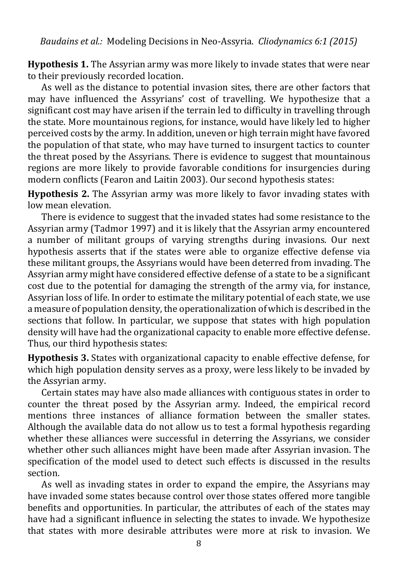**Hypothesis 1.** The Assyrian army was more likely to invade states that were near to their previously recorded location.

As well as the distance to potential invasion sites, there are other factors that may have influenced the Assyrians' cost of travelling. We hypothesize that a significant cost may have arisen if the terrain led to difficulty in travelling through the state. More mountainous regions, for instance, would have likely led to higher perceived costs by the army. In addition, uneven or high terrain might have favored the population of that state, who may have turned to insurgent tactics to counter the threat posed by the Assyrians. There is evidence to suggest that mountainous regions are more likely to provide favorable conditions for insurgencies during modern conflicts (Fearon and Laitin 2003). Our second hypothesis states:

**Hypothesis 2.** The Assyrian army was more likely to favor invading states with low mean elevation.

There is evidence to suggest that the invaded states had some resistance to the Assyrian army (Tadmor 1997) and it is likely that the Assyrian army encountered a number of militant groups of varying strengths during invasions. Our next hypothesis asserts that if the states were able to organize effective defense via these militant groups, the Assyrians would have been deterred from invading. The Assyrian army might have considered effective defense of a state to be a significant cost due to the potential for damaging the strength of the army via, for instance, Assyrian loss of life. In order to estimate the military potential of each state, we use a measure of population density, the operationalization of which is described in the sections that follow. In particular, we suppose that states with high population density will have had the organizational capacity to enable more effective defense. Thus, our third hypothesis states:

**Hypothesis 3.** States with organizational capacity to enable effective defense, for which high population density serves as a proxy, were less likely to be invaded by the Assyrian army.

Certain states may have also made alliances with contiguous states in order to counter the threat posed by the Assyrian army. Indeed, the empirical record mentions three instances of alliance formation between the smaller states. Although the available data do not allow us to test a formal hypothesis regarding whether these alliances were successful in deterring the Assyrians, we consider whether other such alliances might have been made after Assyrian invasion. The specification of the model used to detect such effects is discussed in the results section.

As well as invading states in order to expand the empire, the Assyrians may have invaded some states because control over those states offered more tangible benefits and opportunities. In particular, the attributes of each of the states may have had a significant influence in selecting the states to invade. We hypothesize that states with more desirable attributes were more at risk to invasion. We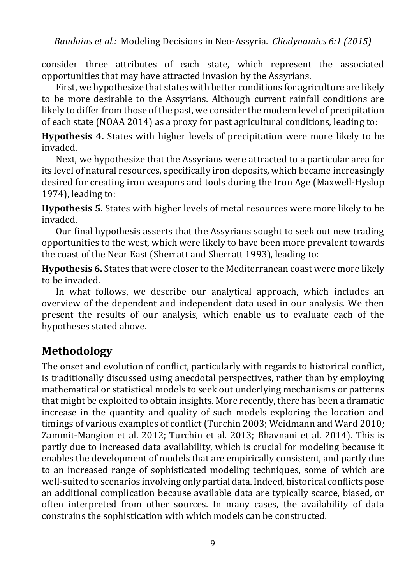consider three attributes of each state, which represent the associated opportunities that may have attracted invasion by the Assyrians.

First, we hypothesize that states with better conditions for agriculture are likely to be more desirable to the Assyrians. Although current rainfall conditions are likely to differ from those of the past, we consider the modern level of precipitation of each state (NOAA 2014) as a proxy for past agricultural conditions, leading to:

**Hypothesis 4.** States with higher levels of precipitation were more likely to be invaded.

Next, we hypothesize that the Assyrians were attracted to a particular area for its level of natural resources, specifically iron deposits, which became increasingly desired for creating iron weapons and tools during the Iron Age (Maxwell-Hyslop 1974), leading to:

**Hypothesis 5.** States with higher levels of metal resources were more likely to be invaded.

Our final hypothesis asserts that the Assyrians sought to seek out new trading opportunities to the west, which were likely to have been more prevalent towards the coast of the Near East (Sherratt and Sherratt 1993), leading to:

**Hypothesis 6.** States that were closer to the Mediterranean coast were more likely to be invaded.

In what follows, we describe our analytical approach, which includes an overview of the dependent and independent data used in our analysis. We then present the results of our analysis, which enable us to evaluate each of the hypotheses stated above.

# **Methodology**

The onset and evolution of conflict, particularly with regards to historical conflict, is traditionally discussed using anecdotal perspectives, rather than by employing mathematical or statistical models to seek out underlying mechanisms or patterns that might be exploited to obtain insights. More recently, there has been a dramatic increase in the quantity and quality of such models exploring the location and timings of various examples of conflict (Turchin 2003; Weidmann and Ward 2010; Zammit-Mangion et al. 2012; Turchin et al. 2013; Bhavnani et al. 2014). This is partly due to increased data availability, which is crucial for modeling because it enables the development of models that are empirically consistent, and partly due to an increased range of sophisticated modeling techniques, some of which are well-suited to scenarios involving only partial data.Indeed, historical conflicts pose an additional complication because available data are typically scarce, biased, or often interpreted from other sources. In many cases, the availability of data constrains the sophistication with which models can be constructed.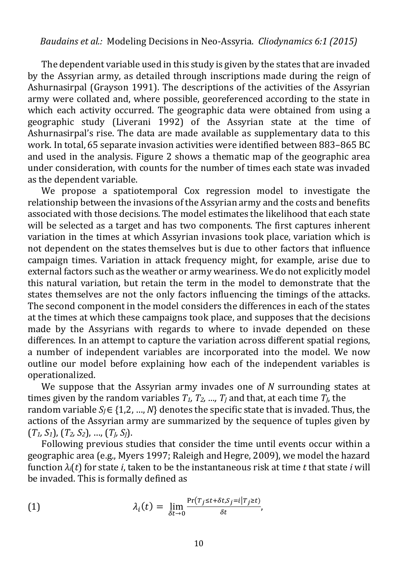The dependent variable used in this study is given by the states that are invaded by the Assyrian army, as detailed through inscriptions made during the reign of Ashurnasirpal (Grayson 1991). The descriptions of the activities of the Assyrian army were collated and, where possible, georeferenced according to the state in which each activity occurred. The geographic data were obtained from using a geographic study (Liverani 1992) of the Assyrian state at the time of Ashurnasirpal's rise. The data are made available as supplementary data to this work. In total, 65 separate invasion activities were identified between 883–865 BC and used in the analysis. Figure 2 shows a thematic map of the geographic area under consideration, with counts for the number of times each state was invaded as the dependent variable.

We propose a spatiotemporal Cox regression model to investigate the relationship between the invasions of the Assyrian army and the costs and benefits associated with those decisions. The model estimates the likelihood that each state will be selected as a target and has two components. The first captures inherent variation in the times at which Assyrian invasions took place, variation which is not dependent on the states themselves but is due to other factors that influence campaign times. Variation in attack frequency might, for example, arise due to external factors such as the weather or army weariness. We do not explicitly model this natural variation, but retain the term in the model to demonstrate that the states themselves are not the only factors influencing the timings of the attacks. The second component in the model considers the differences in each of the states at the times at which these campaigns took place, and supposes that the decisions made by the Assyrians with regards to where to invade depended on these differences. In an attempt to capture the variation across different spatial regions, a number of independent variables are incorporated into the model. We now outline our model before explaining how each of the independent variables is operationalized.

We suppose that the Assyrian army invades one of  $N$  surrounding states at times given by the random variables  $T_1$ ,  $T_2$ , ...,  $T_l$  and that, at each time  $T_l$ , the random variable  $S_l \in \{1,2,...,N\}$  denotes the specific state that is invaded. Thus, the actions of the Assyrian army are summarized by the sequence of tuples given by  $(T_1, S_1), (T_2, S_2), ..., (T_k, S_l).$ 

Following previous studies that consider the time until events occur within a geographic area (e.g., Myers 1997; Raleigh and Hegre, 2009), we model the hazard function  $\lambda_i(t)$  for state *i*, taken to be the instantaneous risk at time *t* that state *i* will be invaded. This is formally defined as

(1) 
$$
\lambda_i(t) = \lim_{\delta t \to 0} \frac{\Pr(T_j \le t + \delta t, S_j = i | T_j \ge t)}{\delta t},
$$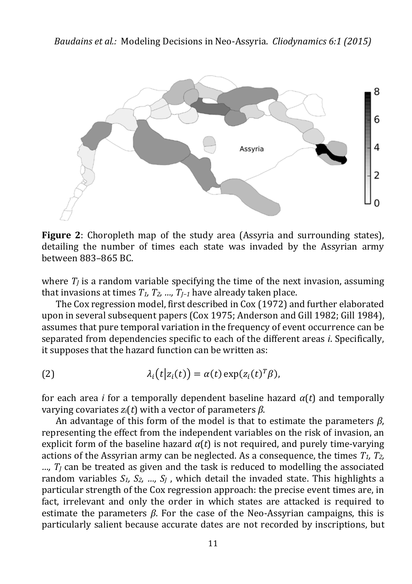

**Figure 2**: Choropleth map of the study area (Assyria and surrounding states), detailing the number of times each state was invaded by the Assyrian army between 883–865 BC.

where  $T_l$  is a random variable specifying the time of the next invasion, assuming that invasions at times *T1, T2, …, TJ−1* have already taken place.

The Cox regression model, first described in Cox (1972) and further elaborated upon in several subsequent papers (Cox 1975; Anderson and Gill 1982; Gill 1984), assumes that pure temporal variation in the frequency of event occurrence can be separated from dependencies specific to each of the different areas *i*. Specifically, it supposes that the hazard function can be written as:

(2) 
$$
\lambda_i(t|z_i(t)) = \alpha(t) \exp(z_i(t)^T \beta),
$$

for each area *i* for a temporally dependent baseline hazard *α*(*t*) and temporally varying covariates *zi*(*t*) with a vector of parameters *β*.

An advantage of this form of the model is that to estimate the parameters  $\beta$ , representing the effect from the independent variables on the risk of invasion, an explicit form of the baseline hazard  $\alpha(t)$  is not required, and purely time-varying actions of the Assyrian army can be neglected. As a consequence, the times *T1, T2,*   $...$ ,  $T_l$  can be treated as given and the task is reduced to modelling the associated random variables  $S_1$ ,  $S_2$ , ...,  $S_j$ , which detail the invaded state. This highlights a particular strength of the Cox regression approach: the precise event times are, in fact, irrelevant and only the order in which states are attacked is required to estimate the parameters *β*. For the case of the Neo-Assyrian campaigns, this is particularly salient because accurate dates are not recorded by inscriptions, but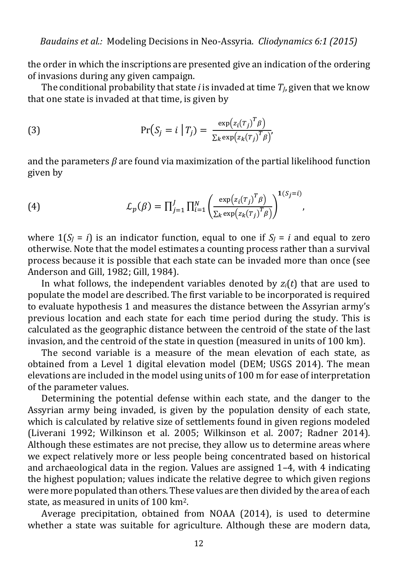the order in which the inscriptions are presented give an indication of the ordering of invasions during any given campaign.

The conditional probability that state *i* is invaded at time  $T<sub>l</sub>$  given that we know that one state is invaded at that time, is given by

(3) 
$$
\Pr(S_j = i | T_j) = \frac{\exp(z_i(T_j)^T \beta)}{\sum_k \exp(z_k(T_j)^T \beta)}
$$

and the parameters  $\beta$  are found via maximization of the partial likelihood function given by

(4) 
$$
\mathcal{L}_{p}(\beta) = \prod_{j=1}^{J} \prod_{i=1}^{N} \left( \frac{\exp(z_{i}(r_{j})^{T} \beta)}{\sum_{k} \exp(z_{k}(r_{j})^{T} \beta)} \right)^{1(S_{j}=i)},
$$

where  $1(S_i = i)$  is an indicator function, equal to one if  $S_i = i$  and equal to zero otherwise. Note that the model estimates a counting process rather than a survival process because it is possible that each state can be invaded more than once (see Anderson and Gill, 1982; Gill, 1984).

In what follows, the independent variables denoted by *zi*(*t*) that are used to populate the model are described. The first variable to be incorporated is required to evaluate hypothesis 1 and measures the distance between the Assyrian army's previous location and each state for each time period during the study. This is calculated as the geographic distance between the centroid of the state of the last invasion, and the centroid of the state in question (measured in units of 100 km).

The second variable is a measure of the mean elevation of each state, as obtained from a Level 1 digital elevation model (DEM; USGS 2014). The mean elevations are included in the model using units of 100 m for ease of interpretation of the parameter values.

Determining the potential defense within each state, and the danger to the Assyrian army being invaded, is given by the population density of each state, which is calculated by relative size of settlements found in given regions modeled (Liverani 1992; Wilkinson et al. 2005; Wilkinson et al. 2007; Radner 2014). Although these estimates are not precise, they allow us to determine areas where we expect relatively more or less people being concentrated based on historical and archaeological data in the region. Values are assigned 1–4, with 4 indicating the highest population; values indicate the relative degree to which given regions were more populated than others. These values are then divided by the area of each state, as measured in units of 100 km2.

Average precipitation, obtained from NOAA (2014), is used to determine whether a state was suitable for agriculture. Although these are modern data,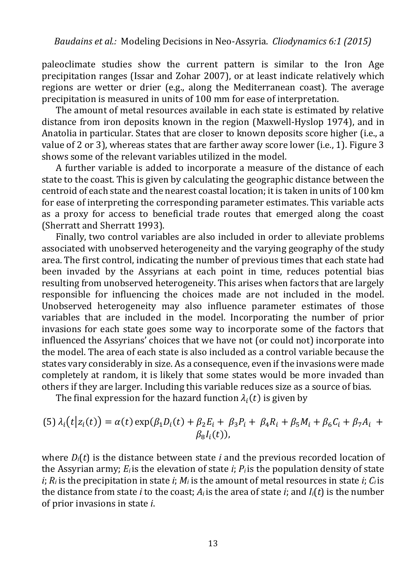paleoclimate studies show the current pattern is similar to the Iron Age precipitation ranges (Issar and Zohar 2007), or at least indicate relatively which regions are wetter or drier (e.g., along the Mediterranean coast). The average precipitation is measured in units of 100 mm for ease of interpretation.

The amount of metal resources available in each state is estimated by relative distance from iron deposits known in the region (Maxwell-Hyslop 1974), and in Anatolia in particular. States that are closer to known deposits score higher (i.e., a value of 2 or 3), whereas states that are farther away score lower (i.e., 1). Figure 3 shows some of the relevant variables utilized in the model.

A further variable is added to incorporate a measure of the distance of each state to the coast. This is given by calculating the geographic distance between the centroid of each state and the nearest coastal location; it is taken in units of 100 km for ease of interpreting the corresponding parameter estimates. This variable acts as a proxy for access to beneficial trade routes that emerged along the coast (Sherratt and Sherratt 1993).

Finally, two control variables are also included in order to alleviate problems associated with unobserved heterogeneity and the varying geography of the study area. The first control, indicating the number of previous times that each state had been invaded by the Assyrians at each point in time, reduces potential bias resulting from unobserved heterogeneity. This arises when factors that are largely responsible for influencing the choices made are not included in the model. Unobserved heterogeneity may also influence parameter estimates of those variables that are included in the model. Incorporating the number of prior invasions for each state goes some way to incorporate some of the factors that influenced the Assyrians' choices that we have not (or could not) incorporate into the model. The area of each state is also included as a control variable because the states vary considerably in size. As a consequence, even if the invasions were made completely at random, it is likely that some states would be more invaded than others if they are larger. Including this variable reduces size as a source of bias.

The final expression for the hazard function  $\lambda_i(t)$  is given by

(5) 
$$
\lambda_i(t|z_i(t)) = \alpha(t) \exp(\beta_1 D_i(t) + \beta_2 E_i + \beta_3 P_i + \beta_4 R_i + \beta_5 M_i + \beta_6 C_i + \beta_7 A_i + \beta_8 I_i(t)),
$$

where *Di*(*t*) is the distance between state *i* and the previous recorded location of the Assyrian army;  $E_i$  is the elevation of state  $i$ ;  $P_i$  is the population density of state *i*; *Ri* is the precipitation in state *i*; *Mi* is the amount of metal resources in state *i*; *Ci* is the distance from state *i* to the coast; *Ai* is the area of state *i*; and *Ii*(*t*) is the number of prior invasions in state *i*.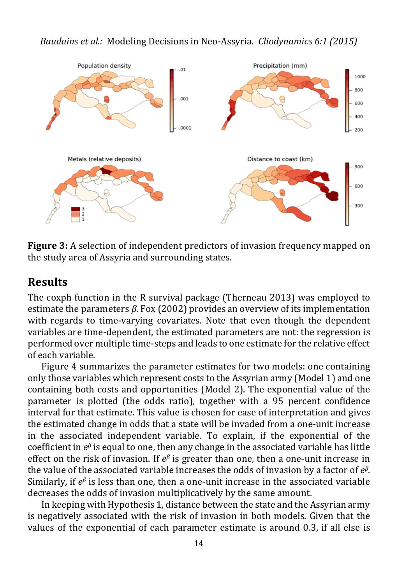



**Figure 3:** A selection of independent predictors of invasion frequency mapped on the study area of Assyria and surrounding states.

## **Results**

The coxph function in the R survival package (Therneau 2013) was employed to estimate the parameters *β*. Fox (2002) provides an overview of its implementation with regards to time-varying covariates. Note that even though the dependent variables are time-dependent, the estimated parameters are not: the regression is performed over multiple time-steps and leads to one estimate for the relative effect of each variable.

Figure 4 summarizes the parameter estimates for two models: one containing only those variables which represent costs to the Assyrian army (Model 1) and one containing both costs and opportunities (Model 2). The exponential value of the parameter is plotted (the odds ratio), together with a 95 percent confidence interval for that estimate. This value is chosen for ease of interpretation and gives the estimated change in odds that a state will be invaded from a one-unit increase in the associated independent variable. To explain, if the exponential of the coefficient in *e<sup>β</sup>* is equal to one, then any change in the associated variable has little effect on the risk of invasion. If *e<sup>β</sup>* is greater than one, then a one-unit increase in the value of the associated variable increases the odds of invasion by a factor of *e<sup>β</sup>*. Similarly, if *e<sup>β</sup>* is less than one, then a one-unit increase in the associated variable decreases the odds of invasion multiplicatively by the same amount.

In keeping with Hypothesis 1, distance between the state and the Assyrian army is negatively associated with the risk of invasion in both models. Given that the values of the exponential of each parameter estimate is around 0.3, if all else is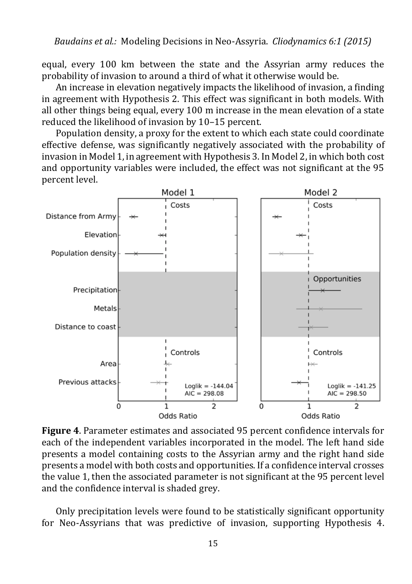equal, every 100 km between the state and the Assyrian army reduces the probability of invasion to around a third of what it otherwise would be.

An increase in elevation negatively impacts the likelihood of invasion, a finding in agreement with Hypothesis 2. This effect was significant in both models. With all other things being equal, every 100 m increase in the mean elevation of a state reduced the likelihood of invasion by 10–15 percent.

Population density, a proxy for the extent to which each state could coordinate effective defense, was significantly negatively associated with the probability of invasion in Model 1, in agreement with Hypothesis 3. In Model 2, in which both cost and opportunity variables were included, the effect was not significant at the 95 percent level.



**Figure 4**. Parameter estimates and associated 95 percent confidence intervals for each of the independent variables incorporated in the model. The left hand side presents a model containing costs to the Assyrian army and the right hand side presents a model with both costs and opportunities. If a confidence interval crosses the value 1, then the associated parameter is not significant at the 95 percent level and the confidence interval is shaded grey.

Only precipitation levels were found to be statistically significant opportunity for Neo-Assyrians that was predictive of invasion, supporting Hypothesis 4.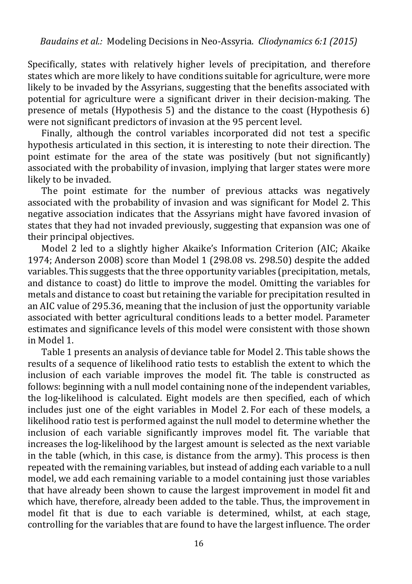Specifically, states with relatively higher levels of precipitation, and therefore states which are more likely to have conditions suitable for agriculture, were more likely to be invaded by the Assyrians, suggesting that the benefits associated with potential for agriculture were a significant driver in their decision-making. The presence of metals (Hypothesis 5) and the distance to the coast (Hypothesis 6) were not significant predictors of invasion at the 95 percent level.

Finally, although the control variables incorporated did not test a specific hypothesis articulated in this section, it is interesting to note their direction. The point estimate for the area of the state was positively (but not significantly) associated with the probability of invasion, implying that larger states were more likely to be invaded.

The point estimate for the number of previous attacks was negatively associated with the probability of invasion and was significant for Model 2. This negative association indicates that the Assyrians might have favored invasion of states that they had not invaded previously, suggesting that expansion was one of their principal objectives.

Model 2 led to a slightly higher Akaike's Information Criterion (AIC; Akaike 1974; Anderson 2008) score than Model 1 (298.08 vs. 298.50) despite the added variables. This suggests that the three opportunity variables (precipitation, metals, and distance to coast) do little to improve the model. Omitting the variables for metals and distance to coast but retaining the variable for precipitation resulted in an AIC value of 295.36, meaning that the inclusion of just the opportunity variable associated with better agricultural conditions leads to a better model. Parameter estimates and significance levels of this model were consistent with those shown in Model 1.

Table 1 presents an analysis of deviance table for Model 2. This table shows the results of a sequence of likelihood ratio tests to establish the extent to which the inclusion of each variable improves the model fit. The table is constructed as follows: beginning with a null model containing none of the independent variables, the log-likelihood is calculated. Eight models are then specified, each of which includes just one of the eight variables in Model 2. For each of these models, a likelihood ratio test is performed against the null model to determine whether the inclusion of each variable significantly improves model fit. The variable that increases the log-likelihood by the largest amount is selected as the next variable in the table (which, in this case, is distance from the army). This process is then repeated with the remaining variables, but instead of adding each variable to a null model, we add each remaining variable to a model containing just those variables that have already been shown to cause the largest improvement in model fit and which have, therefore, already been added to the table. Thus, the improvement in model fit that is due to each variable is determined, whilst, at each stage, controlling for the variables that are found to have the largest influence. The order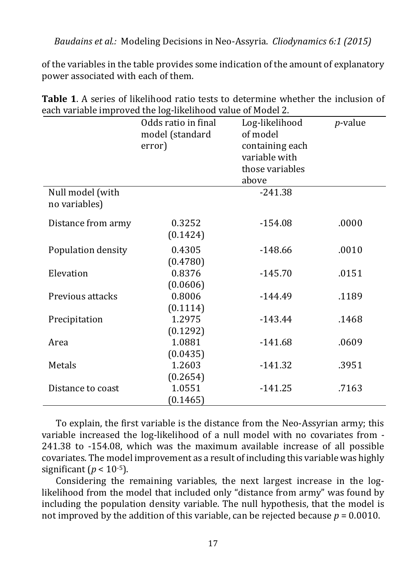of the variables in the table provides some indication of the amount of explanatory power associated with each of them.

|                                   | ach variable http://wed.uic.log.html.ood/value.of/houcle.<br>Odds ratio in final<br>model (standard | Log-likelihood<br>of model | <i>p</i> -value |
|-----------------------------------|-----------------------------------------------------------------------------------------------------|----------------------------|-----------------|
|                                   | error)                                                                                              | containing each            |                 |
|                                   |                                                                                                     | variable with              |                 |
|                                   |                                                                                                     | those variables            |                 |
|                                   |                                                                                                     | above                      |                 |
| Null model (with<br>no variables) |                                                                                                     | $-241.38$                  |                 |
| Distance from army                | 0.3252<br>(0.1424)                                                                                  | $-154.08$                  | .0000           |
| Population density                | 0.4305<br>(0.4780)                                                                                  | $-148.66$                  | .0010           |
| Elevation                         | 0.8376<br>(0.0606)                                                                                  | $-145.70$                  | .0151           |
| Previous attacks                  | 0.8006<br>(0.1114)                                                                                  | $-144.49$                  | .1189           |
| Precipitation                     | 1.2975<br>(0.1292)                                                                                  | $-143.44$                  | .1468           |
| Area                              | 1.0881<br>(0.0435)                                                                                  | $-141.68$                  | .0609           |
| Metals                            | 1.2603<br>(0.2654)                                                                                  | $-141.32$                  | .3951           |
| Distance to coast                 | 1.0551<br>(0.1465)                                                                                  | $-141.25$                  | .7163           |

**Table 1**. A series of likelihood ratio tests to determine whether the inclusion of each variable improved the log-likelihood value of Model 2.

To explain, the first variable is the distance from the Neo-Assyrian army; this variable increased the log-likelihood of a null model with no covariates from - 241.38 to -154.08, which was the maximum available increase of all possible covariates. The model improvement as a result of including this variable was highly significant  $(p < 10^{-5})$ .

Considering the remaining variables, the next largest increase in the loglikelihood from the model that included only "distance from army" was found by including the population density variable. The null hypothesis, that the model is not improved by the addition of this variable, can be rejected because  $p = 0.0010$ .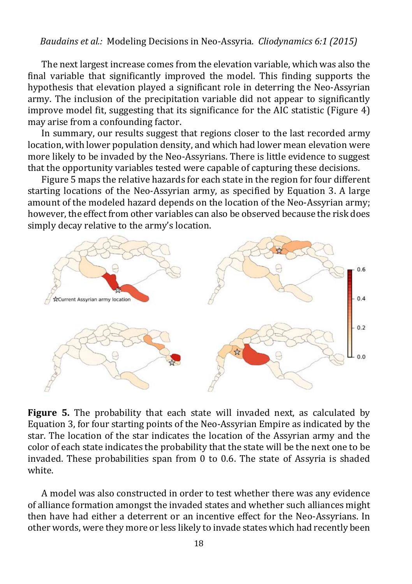The next largest increase comes from the elevation variable, which was also the final variable that significantly improved the model. This finding supports the hypothesis that elevation played a significant role in deterring the Neo-Assyrian army. The inclusion of the precipitation variable did not appear to significantly improve model fit, suggesting that its significance for the AIC statistic (Figure 4) may arise from a confounding factor.

In summary, our results suggest that regions closer to the last recorded army location, with lower population density, and which had lower mean elevation were more likely to be invaded by the Neo-Assyrians. There is little evidence to suggest that the opportunity variables tested were capable of capturing these decisions.

Figure 5 maps the relative hazards for each state in the region for four different starting locations of the Neo-Assyrian army, as specified by Equation 3. A large amount of the modeled hazard depends on the location of the Neo-Assyrian army; however, the effect from other variables can also be observed because the risk does simply decay relative to the army's location.



Figure 5. The probability that each state will invaded next, as calculated by Equation 3, for four starting points of the Neo-Assyrian Empire as indicated by the star. The location of the star indicates the location of the Assyrian army and the color of each state indicates the probability that the state will be the next one to be invaded. These probabilities span from 0 to 0.6. The state of Assyria is shaded white.

A model was also constructed in order to test whether there was any evidence of alliance formation amongst the invaded states and whether such alliances might then have had either a deterrent or an incentive effect for the Neo-Assyrians. In other words, were they more or less likely to invade states which had recently been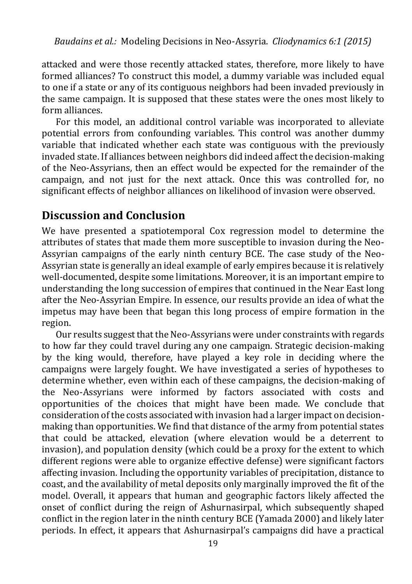attacked and were those recently attacked states, therefore, more likely to have formed alliances? To construct this model, a dummy variable was included equal to one if a state or any of its contiguous neighbors had been invaded previously in the same campaign. It is supposed that these states were the ones most likely to form alliances.

For this model, an additional control variable was incorporated to alleviate potential errors from confounding variables. This control was another dummy variable that indicated whether each state was contiguous with the previously invaded state. If alliances between neighbors did indeed affect the decision-making of the Neo-Assyrians, then an effect would be expected for the remainder of the campaign, and not just for the next attack. Once this was controlled for, no significant effects of neighbor alliances on likelihood of invasion were observed.

## **Discussion and Conclusion**

We have presented a spatiotemporal Cox regression model to determine the attributes of states that made them more susceptible to invasion during the Neo-Assyrian campaigns of the early ninth century BCE. The case study of the Neo-Assyrian state is generally an ideal example of early empires because it is relatively well-documented, despite some limitations. Moreover, it is an important empire to understanding the long succession of empires that continued in the Near East long after the Neo-Assyrian Empire. In essence, our results provide an idea of what the impetus may have been that began this long process of empire formation in the region.

Our results suggest that the Neo-Assyrians were under constraints with regards to how far they could travel during any one campaign. Strategic decision-making by the king would, therefore, have played a key role in deciding where the campaigns were largely fought. We have investigated a series of hypotheses to determine whether, even within each of these campaigns, the decision-making of the Neo-Assyrians were informed by factors associated with costs and opportunities of the choices that might have been made. We conclude that consideration of the costs associated with invasion had a larger impact on decisionmaking than opportunities. We find that distance of the army from potential states that could be attacked, elevation (where elevation would be a deterrent to invasion), and population density (which could be a proxy for the extent to which different regions were able to organize effective defense) were significant factors affecting invasion. Including the opportunity variables of precipitation, distance to coast, and the availability of metal deposits only marginally improved the fit of the model. Overall, it appears that human and geographic factors likely affected the onset of conflict during the reign of Ashurnasirpal, which subsequently shaped conflict in the region later in the ninth century BCE (Yamada 2000) and likely later periods. In effect, it appears that Ashurnasirpal's campaigns did have a practical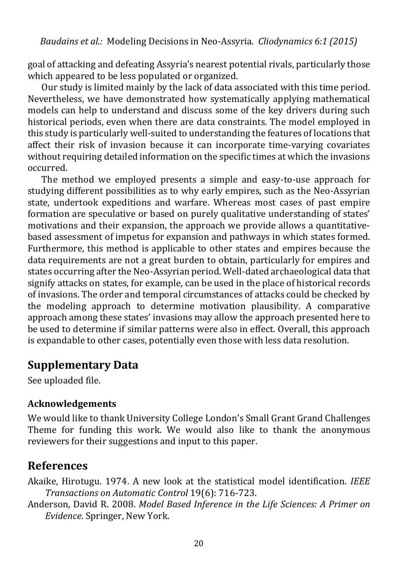goal of attacking and defeating Assyria's nearest potential rivals, particularly those which appeared to be less populated or organized.

Our study is limited mainly by the lack of data associated with this time period. Nevertheless, we have demonstrated how systematically applying mathematical models can help to understand and discuss some of the key drivers during such historical periods, even when there are data constraints. The model employed in this study is particularly well-suited to understanding the features of locations that affect their risk of invasion because it can incorporate time-varying covariates without requiring detailed information on the specific times at which the invasions occurred.

The method we employed presents a simple and easy-to-use approach for studying different possibilities as to why early empires, such as the Neo-Assyrian state, undertook expeditions and warfare. Whereas most cases of past empire formation are speculative or based on purely qualitative understanding of states' motivations and their expansion, the approach we provide allows a quantitativebased assessment of impetus for expansion and pathways in which states formed. Furthermore, this method is applicable to other states and empires because the data requirements are not a great burden to obtain, particularly for empires and states occurring after the Neo-Assyrian period. Well-dated archaeological data that signify attacks on states, for example, can be used in the place of historical records of invasions. The order and temporal circumstances of attacks could be checked by the modeling approach to determine motivation plausibility. A comparative approach among these states' invasions may allow the approach presented here to be used to determine if similar patterns were also in effect. Overall, this approach is expandable to other cases, potentially even those with less data resolution.

## **Supplementary Data**

See uploaded file.

### **Acknowledgements**

We would like to thank University College London's Small Grant Grand Challenges Theme for funding this work. We would also like to thank the anonymous reviewers for their suggestions and input to this paper.

## **References**

Akaike, Hirotugu. 1974. A new look at the statistical model identification. *IEEE Transactions on Automatic Control* 19(6): 716-723.

Anderson, David R. 2008. *Model Based Inference in the Life Sciences: A Primer on Evidence*. Springer, New York.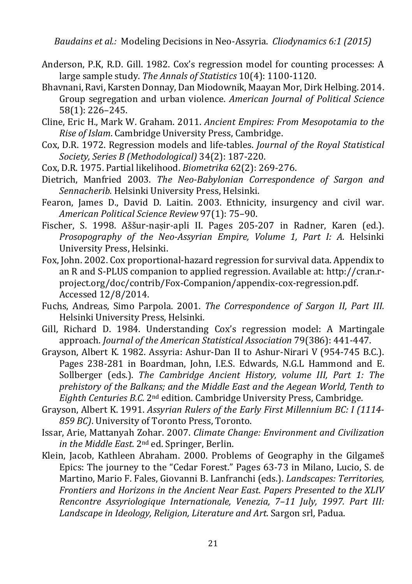- Anderson, P.K, R.D. Gill. 1982. Cox's regression model for counting processes: A large sample study. *The Annals of Statistics* 10(4): 1100-1120.
- Bhavnani, Ravi, Karsten Donnay, Dan Miodownik, Maayan Mor, Dirk Helbing. 2014. Group segregation and urban violence. *American Journal of Political Science* 58(1): 226–245.
- Cline, Eric H., Mark W. Graham. 2011. *Ancient Empires: From Mesopotamia to the Rise of Islam*. Cambridge University Press, Cambridge.
- Cox, D.R. 1972. Regression models and life-tables. *Journal of the Royal Statistical Society, Series B (Methodological)* 34(2): 187-220.
- Cox, D.R. 1975. Partial likelihood. *Biometrika* 62(2): 269-276.
- Dietrich, Manfried 2003. *The Neo-Babylonian Correspondence of Sargon and Sennacherib.* Helsinki University Press, Helsinki.
- Fearon, James D., David D. Laitin. 2003. Ethnicity, insurgency and civil war. *American Political Science Review* 97(1): 75–90.
- Fischer, S. 1998. Aššur-nasir-apli II. Pages 205-207 in Radner, Karen (ed.). *Prosopography of the Neo-Assyrian Empire, Volume 1, Part I: A*. Helsinki University Press, Helsinki.
- Fox, John. 2002. Cox proportional-hazard regression for survival data. Appendix to an R and S-PLUS companion to applied regression. Available at: http://cran.rproject.org/doc/contrib/Fox-Companion/appendix-cox-regression.pdf. Accessed 12/8/2014.
- Fuchs, Andreas, Simo Parpola. 2001. *The Correspondence of Sargon II, Part III.* Helsinki University Press, Helsinki.
- Gill, Richard D. 1984. Understanding Cox's regression model: A Martingale approach. *Journal of the American Statistical Association* 79(386): 441-447.
- Grayson, Albert K. 1982. Assyria: Ashur-Dan II to Ashur-Nirari V (954-745 B.C.). Pages 238-281 in Boardman, John, I.E.S. Edwards, N.G.L Hammond and E. Sollberger (eds.). *The Cambridge Ancient History, volume III, Part 1: The prehistory of the Balkans; and the Middle East and the Aegean World, Tenth to Eighth Centuries B.C.* 2nd edition. Cambridge University Press, Cambridge.
- Grayson, Albert K. 1991. *Assyrian Rulers of the Early First Millennium BC: I (1114- 859 BC)*. University of Toronto Press, Toronto.
- Issar, Arie, Mattanyah Zohar. 2007. *Climate Change: Environment and Civilization in the Middle East*. 2nd ed. Springer, Berlin.
- Klein, Jacob, Kathleen Abraham. 2000. Problems of Geography in the Gilgameš Epics: The journey to the "Cedar Forest." Pages 63-73 in Milano, Lucio, S. de Martino, Mario F. Fales, Giovanni B. Lanfranchi (eds.). *Landscapes: Territories, Frontiers and Horizons in the Ancient Near East. Papers Presented to the XLIV Rencontre Assyriologique Internationale, Venezia, 7–11 July, 1997. Part III: Landscape in Ideology, Religion, Literature and Art*. Sargon srl, Padua.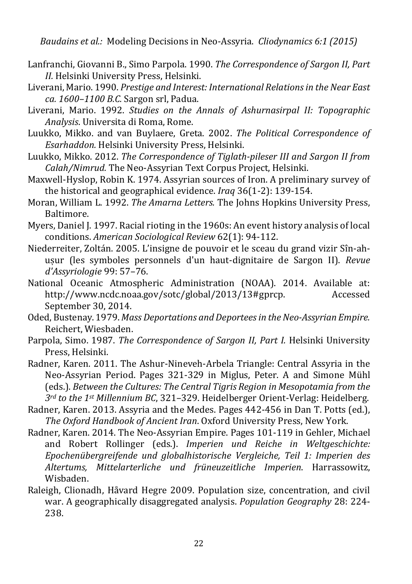- Lanfranchi, Giovanni B., Simo Parpola. 1990. *The Correspondence of Sargon II, Part II.* Helsinki University Press, Helsinki.
- Liverani, Mario. 1990. *Prestige and Interest: International Relations in the Near East ca. 1600–1100 B.C.* Sargon srl, Padua.
- Liverani, Mario. 1992. *Studies on the Annals of Ashurnasirpal II: Topographic Analysis*. Universita di Roma, Rome.
- Luukko, Mikko. and van Buylaere, Greta. 2002. *The Political Correspondence of Esarhaddon.* Helsinki University Press, Helsinki.
- Luukko, Mikko. 2012. *The Correspondence of Tiglath-pileser III and Sargon II from Calah/Nimrud.* The Neo-Assyrian Text Corpus Project, Helsinki.
- Maxwell-Hyslop, Robin K. 1974. Assyrian sources of Iron. A preliminary survey of the historical and geographical evidence. *Iraq* 36(1-2): 139-154.
- Moran, William L. 1992. *The Amarna Letters.* The Johns Hopkins University Press, Baltimore.
- Myers, Daniel J. 1997. Racial rioting in the 1960s: An event history analysis of local conditions. *American Sociological Review* 62(1): 94-112.
- Niederreiter, Zoltán. 2005. L'insigne de pouvoir et le sceau du grand vizir Sîn-ahuṣur (les symboles personnels d'un haut-dignitaire de Sargon II). *Revue d'Assyriologie* 99: 57–76.
- National Oceanic Atmospheric Administration (NOAA). 2014. Available at: http://www.ncdc.noaa.gov/sotc/global/2013/13#gprcp. September 30, 2014.
- Oded, Bustenay. 1979. *Mass Deportations and Deportees in the Neo-Assyrian Empire.*  Reichert, Wiesbaden.
- Parpola, Simo. 1987. *The Correspondence of Sargon II, Part I.* Helsinki University Press, Helsinki.
- Radner, Karen. 2011. The Ashur-Nineveh-Arbela Triangle: Central Assyria in the Neo-Assyrian Period. Pages 321-329 in Miglus, Peter. A and Simone Mühl (eds.). *Between the Cultures: The Central Tigris Region in Mesopotamia from the 3rd to the 1st Millennium BC*, 321–329. Heidelberger Orient-Verlag: Heidelberg.
- Radner, Karen. 2013. Assyria and the Medes. Pages 442-456 in Dan T. Potts (ed.), *The Oxford Handbook of Ancient Iran*. Oxford University Press, New York.
- Radner, Karen. 2014. The Neo-Assyrian Empire. Pages 101-119 in Gehler, Michael and Robert Rollinger (eds.). *Imperien und Reiche in Weltgeschichte: Epochenübergreifende und globalhistorische Vergleiche, Teil 1: Imperien des Altertums, Mittelarterliche und früneuzeitliche Imperien*. Harrassowitz, Wisbaden.
- Raleigh, Clionadh, Håvard Hegre 2009. Population size, concentration, and civil war. A geographically disaggregated analysis. *Population Geography* 28: 224- 238.